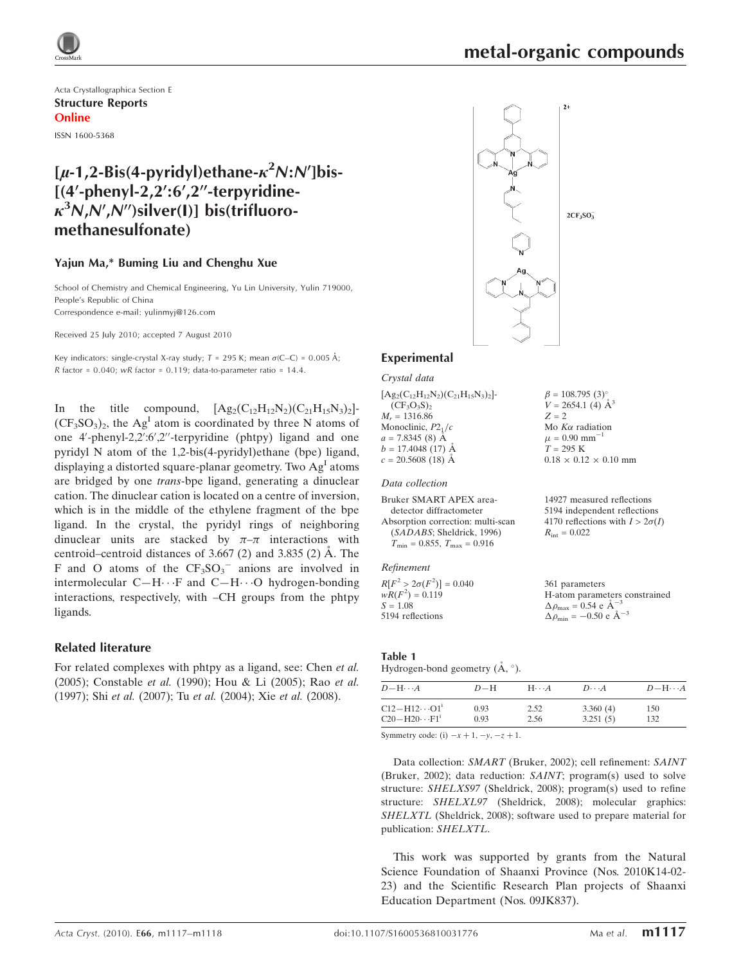$\beta = 108.795$  (3)<sup>o</sup>  $V = 2654.1$  (4)  $A^3$ 

Mo  $K\alpha$  radiation  $\mu = 0.90$  mm<sup>-1</sup>  $T = 295 \text{ K}$ 

 $R_{\text{int}} = 0.022$ 

 $0.18 \times 0.12 \times 0.10$  mm

14927 measured reflections 5194 independent reflections 4170 reflections with  $I > 2\sigma(I)$ 

 $Z = 2$ 

Acta Crystallographica Section E Structure Reports Online

ISSN 1600-5368

## [ $\mu$ -1,2-Bis(4-pyridyl)ethane- $\kappa^2 N$ : $N$ ']bis- $[(4'-phenyl-2,2':6',2''-terpyridine \kappa^3$ N,N',N'')silver(I)] bis(trifluoromethanesulfonate)

#### Yajun Ma,\* Buming Liu and Chenghu Xue

School of Chemistry and Chemical Engineering, Yu Lin University, Yulin 719000, People's Republic of China Correspondence e-mail: yulinmyj@126.com

Received 25 July 2010; accepted 7 August 2010

Key indicators: single-crystal X-ray study;  $T = 295$  K; mean  $\sigma$ (C–C) = 0.005 Å;  $R$  factor = 0.040; wR factor = 0.119; data-to-parameter ratio = 14.4.

In the title compound,  $[Ag_2(C_{12}H_{12}N_2)(C_{21}H_{15}N_3)_2]$ - $(CF_3SO_3)_2$ , the Ag<sup>I</sup> atom is coordinated by three N atoms of one 4'-phenyl-2,2':6',2"-terpyridine (phtpy) ligand and one pyridyl N atom of the 1,2-bis(4-pyridyl)ethane (bpe) ligand, displaying a distorted square-planar geometry. Two  $Ag<sup>I</sup>$  atoms are bridged by one trans-bpe ligand, generating a dinuclear cation. The dinuclear cation is located on a centre of inversion, which is in the middle of the ethylene fragment of the bpe ligand. In the crystal, the pyridyl rings of neighboring dinuclear units are stacked by  $\pi-\pi$  interactions with centroid–centroid distances of  $3.667$  (2) and  $3.835$  (2) Å. The F and O atoms of the  $CF_3SO_3^-$  anions are involved in intermolecular  $C-H \cdots F$  and  $C-H \cdots O$  hydrogen-bonding interactions, respectively, with –CH groups from the phtpy ligands.

#### Related literature

For related complexes with phtpy as a ligand, see: Chen *et al.* (2005); Constable et al. (1990); Hou & Li (2005); Rao et al. (1997); Shi et al. (2007); Tu et al. (2004); Xie et al. (2008).



#### Experimental

Crystal data

 $[Ag_2(C_{12}H_{12}N_2)(C_{21}H_{15}N_3)_2]$ - $(CF_3O_3S)$  $M_r = 1316.86$ Monoclinic,  $P2<sub>1</sub>/c$  $a = 7.8345(8)$  A  $b = 17.4048(17)$  Å  $c = 20.5608(18)$ Å

#### Data collection

Bruker SMART APEX areadetector diffractometer Absorption correction: multi-scan (SADABS; Sheldrick, 1996)  $T_{\rm min} = 0.855,\ T_{\rm max} = 0.916$ 

#### Refinement

| $R[F^2 > 2\sigma(F^2)] = 0.040$ | 361 parameters                                                |
|---------------------------------|---------------------------------------------------------------|
| $wR(F^2) = 0.119$               | H-atom parameters constrained                                 |
| $S = 1.08$                      | $\Delta \rho_{\text{max}} = 0.54 \text{ e A}^{-3}$            |
| 5194 reflections                | $\Delta \rho_{\text{min}} = -0.50 \text{ e } \text{\AA}^{-3}$ |

#### Table 1

Hydrogen-bond geometry  $(\mathring{A}, \degree)$ .

| $D - H \cdots A$                                 | $D-H$        | $H\cdots A$  | $D\cdots A$          | $D - H \cdots A$ |
|--------------------------------------------------|--------------|--------------|----------------------|------------------|
| $C12 - H12 \cdots O1^i$<br>$C20-H20 \cdots F1^i$ | 0.93<br>0.93 | 2.52<br>2.56 | 3.360(4)<br>3.251(5) | 150<br>132       |
|                                                  |              |              |                      |                  |

Symmetry code: (i)  $-x+1, -y, -z+1$ .

Data collection: SMART (Bruker, 2002); cell refinement: SAINT (Bruker, 2002); data reduction: SAINT; program(s) used to solve structure: SHELXS97 (Sheldrick, 2008); program(s) used to refine structure: SHELXL97 (Sheldrick, 2008); molecular graphics: SHELXTL (Sheldrick, 2008); software used to prepare material for publication: SHELXTL.

This work was supported by grants from the Natural Science Foundation of Shaanxi Province (Nos. 2010K14-02- 23) and the Scientific Research Plan projects of Shaanxi Education Department (Nos. 09JK837).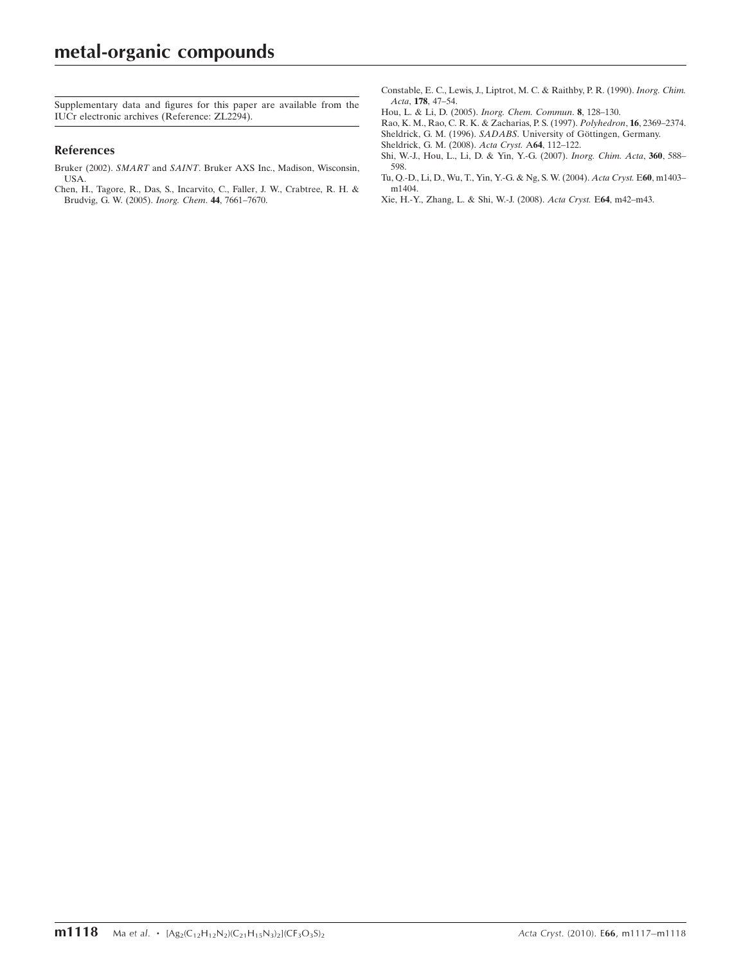Supplementary data and figures for this paper are available from the IUCr electronic archives (Reference: ZL2294).

#### References

- Bruker (2002). SMART and SAINT[. Bruker AXS Inc., Madison, Wisconsin,](https://scripts.iucr.org/cgi-bin/cr.cgi?rm=pdfbb&cnor=zl2294&bbid=BB1) [USA.](https://scripts.iucr.org/cgi-bin/cr.cgi?rm=pdfbb&cnor=zl2294&bbid=BB1)
- [Chen, H., Tagore, R., Das, S., Incarvito, C., Faller, J. W., Crabtree, R. H. &](https://scripts.iucr.org/cgi-bin/cr.cgi?rm=pdfbb&cnor=zl2294&bbid=BB2) [Brudvig, G. W. \(2005\).](https://scripts.iucr.org/cgi-bin/cr.cgi?rm=pdfbb&cnor=zl2294&bbid=BB2) Inorg. Chem. 44, 7661–7670.
- [Constable, E. C., Lewis, J., Liptrot, M. C. & Raithby, P. R. \(1990\).](https://scripts.iucr.org/cgi-bin/cr.cgi?rm=pdfbb&cnor=zl2294&bbid=BB3) Inorg. Chim. Acta, 178[, 47–54.](https://scripts.iucr.org/cgi-bin/cr.cgi?rm=pdfbb&cnor=zl2294&bbid=BB3)
- [Hou, L. & Li, D. \(2005\).](https://scripts.iucr.org/cgi-bin/cr.cgi?rm=pdfbb&cnor=zl2294&bbid=BB4) Inorg. Chem. Commun. 8, 128–130.
- [Rao, K. M., Rao, C. R. K. & Zacharias, P. S. \(1997\).](https://scripts.iucr.org/cgi-bin/cr.cgi?rm=pdfbb&cnor=zl2294&bbid=BB5) Polyhedron, 16, 2369–2374.
- Sheldrick, G. M. (1996). SADABS. University of Göttingen, Germany.
- [Sheldrick, G. M. \(2008\).](https://scripts.iucr.org/cgi-bin/cr.cgi?rm=pdfbb&cnor=zl2294&bbid=BB7) Acta Cryst. A64, 112–122.
- [Shi, W.-J., Hou, L., Li, D. & Yin, Y.-G. \(2007\).](https://scripts.iucr.org/cgi-bin/cr.cgi?rm=pdfbb&cnor=zl2294&bbid=BB8) Inorg. Chim. Acta, 360, 588– [598.](https://scripts.iucr.org/cgi-bin/cr.cgi?rm=pdfbb&cnor=zl2294&bbid=BB8)
- [Tu, Q.-D., Li, D., Wu, T., Yin, Y.-G. & Ng, S. W. \(2004\).](https://scripts.iucr.org/cgi-bin/cr.cgi?rm=pdfbb&cnor=zl2294&bbid=BB9) Acta Cryst. E60, m1403– [m1404.](https://scripts.iucr.org/cgi-bin/cr.cgi?rm=pdfbb&cnor=zl2294&bbid=BB9)
- [Xie, H.-Y., Zhang, L. & Shi, W.-J. \(2008\).](https://scripts.iucr.org/cgi-bin/cr.cgi?rm=pdfbb&cnor=zl2294&bbid=BB10) Acta Cryst. E64, m42–m43.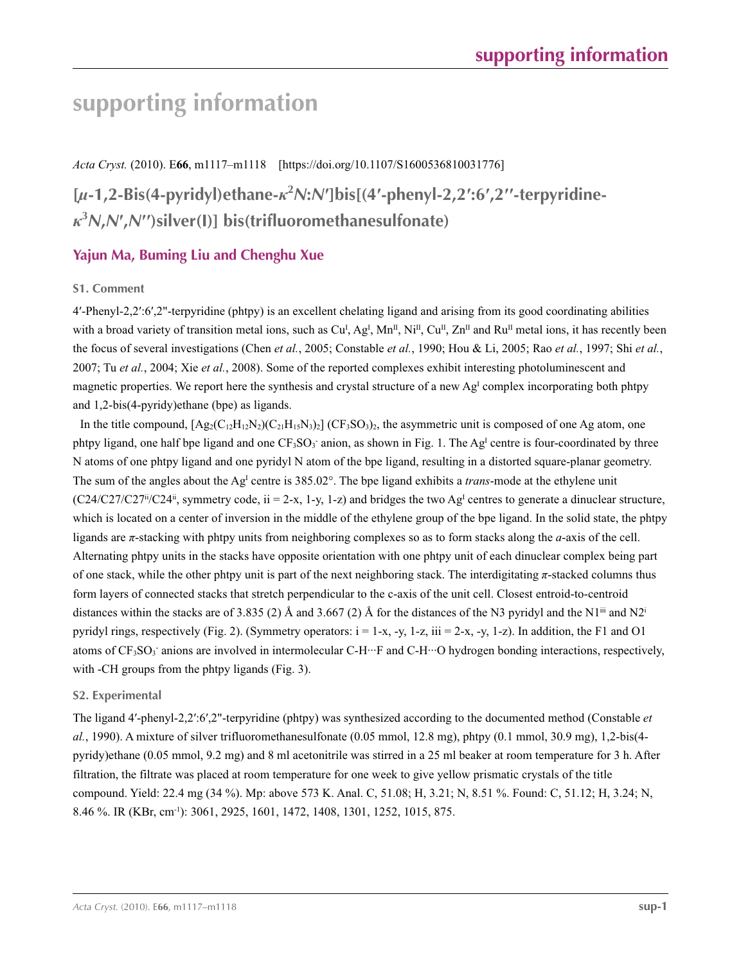# **supporting information**

*Acta Cryst.* (2010). E**66**, m1117–m1118 [https://doi.org/10.1107/S1600536810031776]

# **[***µ***-1,2-Bis(4-pyridyl)ethane-***κ***<sup>2</sup>** *N***:***N***′]bis[(4′-phenyl-2,2′:6′,2′′-terpyridine***κ***3** *N***,***N***′ ,***N***′′)silver(I)] bis(trifluoromethanesulfonate)**

### **Yajun Ma, Buming Liu and Chenghu Xue**

#### **S1. Comment**

4′-Phenyl-2,2′:6′,2"-terpyridine (phtpy) is an excellent chelating ligand and arising from its good coordinating abilities with a broad variety of transition metal ions, such as  $Cu<sup>I</sup>$ ,  $Ag<sup>I</sup>$ ,  $Mn<sup>II</sup>$ ,  $Cu<sup>II</sup>$ ,  $Zn<sup>II</sup>$  and  $Ru<sup>II</sup>$  metal ions, it has recently been the focus of several investigations (Chen *et al.*, 2005; Constable *et al.*, 1990; Hou & Li, 2005; Rao *et al.*, 1997; Shi *et al.*, 2007; Tu *et al.*, 2004; Xie *et al.*, 2008). Some of the reported complexes exhibit interesting photoluminescent and magnetic properties. We report here the synthesis and crystal structure of a new  $Ag<sup>I</sup>$  complex incorporating both phtpy and 1,2-bis(4-pyridy)ethane (bpe) as ligands.

In the title compound,  $[Ag_2(C_{12}H_{12}N_2)(C_{21}H_{15}N_3)_2]$  (CF<sub>3</sub>SO<sub>3</sub>)<sub>2</sub>, the asymmetric unit is composed of one Ag atom, one phtpy ligand, one half bpe ligand and one  $CF_3SO_3$  anion, as shown in Fig. 1. The  $Ag^1$  centre is four-coordinated by three N atoms of one phtpy ligand and one pyridyl N atom of the bpe ligand, resulting in a distorted square-planar geometry. The sum of the angles about the Ag<sup>I</sup> centre is 385.02°. The bpe ligand exhibits a *trans*-mode at the ethylene unit  $(C24/C27/C27^{ii}/C24^{ii}$ , symmetry code, ii = 2-x, 1-y, 1-z) and bridges the two Ag<sup>1</sup> centres to generate a dinuclear structure, which is located on a center of inversion in the middle of the ethylene group of the bpe ligand. In the solid state, the phtpy ligands are *π*-stacking with phtpy units from neighboring complexes so as to form stacks along the *a*-axis of the cell. Alternating phtpy units in the stacks have opposite orientation with one phtpy unit of each dinuclear complex being part of one stack, while the other phtpy unit is part of the next neighboring stack. The interdigitating *π*-stacked columns thus form layers of connected stacks that stretch perpendicular to the c-axis of the unit cell. Closest entroid-to-centroid distances within the stacks are of 3.835 (2) Å and 3.667 (2) Å for the distances of the N3 pyridyl and the N1<sup>iii</sup> and N2<sup>i</sup> pyridyl rings, respectively (Fig. 2). (Symmetry operators:  $i = 1-x$ , -y,  $1-z$ , iii = 2-x, -y, 1-z). In addition, the F1 and O1 atoms of  $CF_3SO_3$  anions are involved in intermolecular C-H···F and C-H···O hydrogen bonding interactions, respectively, with -CH groups from the phtpy ligands (Fig. 3).

#### **S2. Experimental**

The ligand 4′-phenyl-2,2′:6′,2"-terpyridine (phtpy) was synthesized according to the documented method (Constable *et al.*, 1990). A mixture of silver trifluoromethanesulfonate (0.05 mmol, 12.8 mg), phtpy (0.1 mmol, 30.9 mg), 1,2-bis(4 pyridy)ethane (0.05 mmol, 9.2 mg) and 8 ml acetonitrile was stirred in a 25 ml beaker at room temperature for 3 h. After filtration, the filtrate was placed at room temperature for one week to give yellow prismatic crystals of the title compound. Yield: 22.4 mg (34 %). Mp: above 573 K. Anal. C, 51.08; H, 3.21; N, 8.51 %. Found: C, 51.12; H, 3.24; N, 8.46 %. IR (KBr, cm-1): 3061, 2925, 1601, 1472, 1408, 1301, 1252, 1015, 875.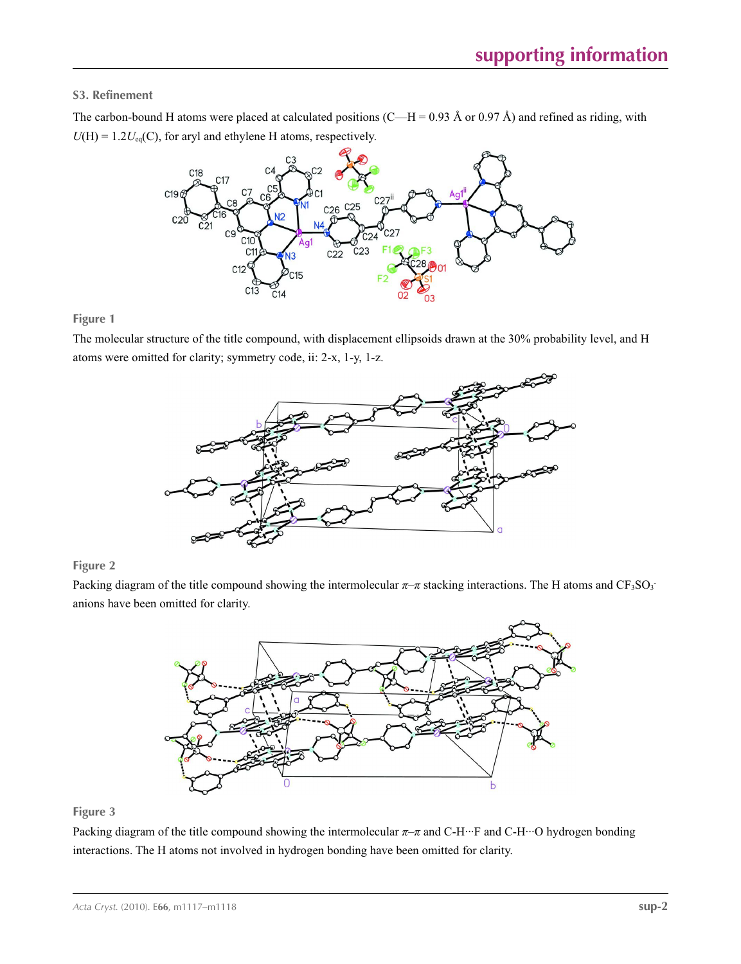#### **S3. Refinement**

The carbon-bound H atoms were placed at calculated positions (C—H = 0.93 Å or 0.97 Å) and refined as riding, with  $U(H) = 1.2U_{eq}(C)$ , for aryl and ethylene H atoms, respectively.



#### **Figure 1**

The molecular structure of the title compound, with displacement ellipsoids drawn at the 30% probability level, and H atoms were omitted for clarity; symmetry code, ii: 2-x, 1-y, 1-z.



#### **Figure 2**

Packing diagram of the title compound showing the intermolecular  $\pi-\pi$  stacking interactions. The H atoms and CF<sub>3</sub>SO<sub>3</sub> anions have been omitted for clarity.



#### **Figure 3**

Packing diagram of the title compound showing the intermolecular *π*–*π* and C-H···F and C-H···O hydrogen bonding interactions. The H atoms not involved in hydrogen bonding have been omitted for clarity.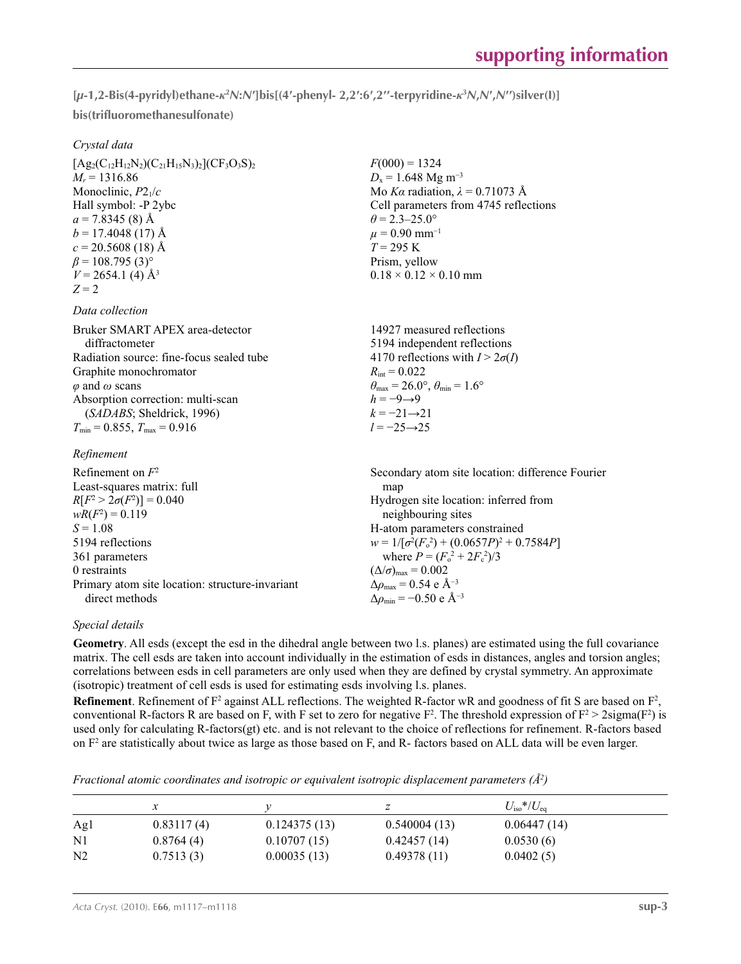[µ-1,2-Bis(4-pyridyl)ethane- $\kappa^2 N: N$ ']bis[(4'-phenyl-2,2':6',2"-terpyridine- $\kappa^3 N, N', N''$ )silver(l)] **bis(trifluoromethanesulfonate)** 

> $F(000) = 1324$  $D_x = 1.648 \text{ Mg m}^{-3}$

 $\theta$  = 2.3–25.0°  $\mu$  = 0.90 mm<sup>-1</sup>  $T = 295 \text{ K}$ Prism, yellow

 $0.18 \times 0.12 \times 0.10$  mm

Mo *Kα* radiation, *λ* = 0.71073 Å Cell parameters from 4745 reflections

 $[Ag_2(C_{12}H_{12}N_2)(C_{21}H_{15}N_3)_2](CF_3O_3S)_2$  $M_r = 1316.86$ Monoclinic, *P*21/*c* Hall symbol: -P 2ybc  $a = 7.8345(8)$  Å  $b = 17.4048(17)$  Å  $c = 20.5608(18)$  Å  $\beta$  = 108.795 (3)<sup>o</sup>  $V = 2654.1$  (4)  $\AA^3$  $Z = 2$ 

#### *Data collection*

| Bruker SMART APEX area-detector          | 14927 measured reflections                                              |
|------------------------------------------|-------------------------------------------------------------------------|
| diffractometer                           | 5194 independent reflections                                            |
| Radiation source: fine-focus sealed tube | 4170 reflections with $I > 2\sigma(I)$                                  |
| Graphite monochromator                   | $R_{\rm int} = 0.022$                                                   |
| $\varphi$ and $\omega$ scans             | $\theta_{\text{max}} = 26.0^{\circ}, \theta_{\text{min}} = 1.6^{\circ}$ |
| Absorption correction: multi-scan        | $h = -9 \rightarrow 9$                                                  |
| (SADABS; Sheldrick, 1996)                | $k = -21 \rightarrow 21$                                                |
| $T_{\min}$ = 0.855, $T_{\max}$ = 0.916   | $l = -25 \rightarrow 25$                                                |
|                                          |                                                                         |

#### *Refinement*

| Refinement on $F^2$                             | Secondary atom site location: difference Fourier   |
|-------------------------------------------------|----------------------------------------------------|
| Least-squares matrix: full                      | map                                                |
| $R[F^2 > 2\sigma(F^2)] = 0.040$                 | Hydrogen site location: inferred from              |
| $wR(F^2) = 0.119$                               | neighbouring sites                                 |
| $S = 1.08$                                      | H-atom parameters constrained                      |
| 5194 reflections                                | $w = 1/[\sigma^2(F_0^2) + (0.0657P)^2 + 0.7584P]$  |
| 361 parameters                                  | where $P = (F_o^2 + 2F_c^2)/3$                     |
| 0 restraints                                    | $(\Delta/\sigma)_{\text{max}} = 0.002$             |
| Primary atom site location: structure-invariant | $\Delta\rho_{\text{max}} = 0.54$ e Å <sup>-3</sup> |
| direct methods                                  | $\Delta\rho_{\rm min} = -0.50 \text{ e A}^{-3}$    |

#### *Special details*

**Geometry**. All esds (except the esd in the dihedral angle between two l.s. planes) are estimated using the full covariance matrix. The cell esds are taken into account individually in the estimation of esds in distances, angles and torsion angles; correlations between esds in cell parameters are only used when they are defined by crystal symmetry. An approximate (isotropic) treatment of cell esds is used for estimating esds involving l.s. planes.

**Refinement**. Refinement of  $F^2$  against ALL reflections. The weighted R-factor wR and goodness of fit S are based on  $F^2$ , conventional R-factors R are based on F, with F set to zero for negative  $F^2$ . The threshold expression of  $F^2 > 2 \text{sigma}(F^2)$  is used only for calculating R-factors(gt) etc. and is not relevant to the choice of reflections for refinement. R-factors based on  $F<sup>2</sup>$  are statistically about twice as large as those based on F, and R- factors based on ALL data will be even larger.

*Fractional atomic coordinates and isotropic or equivalent isotropic displacement parameters (Å<sup>2</sup>)* 

|                | х          |              |              | $U_{\rm iso}*/U_{\rm eq}$ |
|----------------|------------|--------------|--------------|---------------------------|
| Agl            | 0.83117(4) | 0.124375(13) | 0.540004(13) | 0.06447(14)               |
| N1             | 0.8764(4)  | 0.10707(15)  | 0.42457(14)  | 0.0530(6)                 |
| N <sub>2</sub> | 0.7513(3)  | 0.00035(13)  | 0.49378(11)  | 0.0402(5)                 |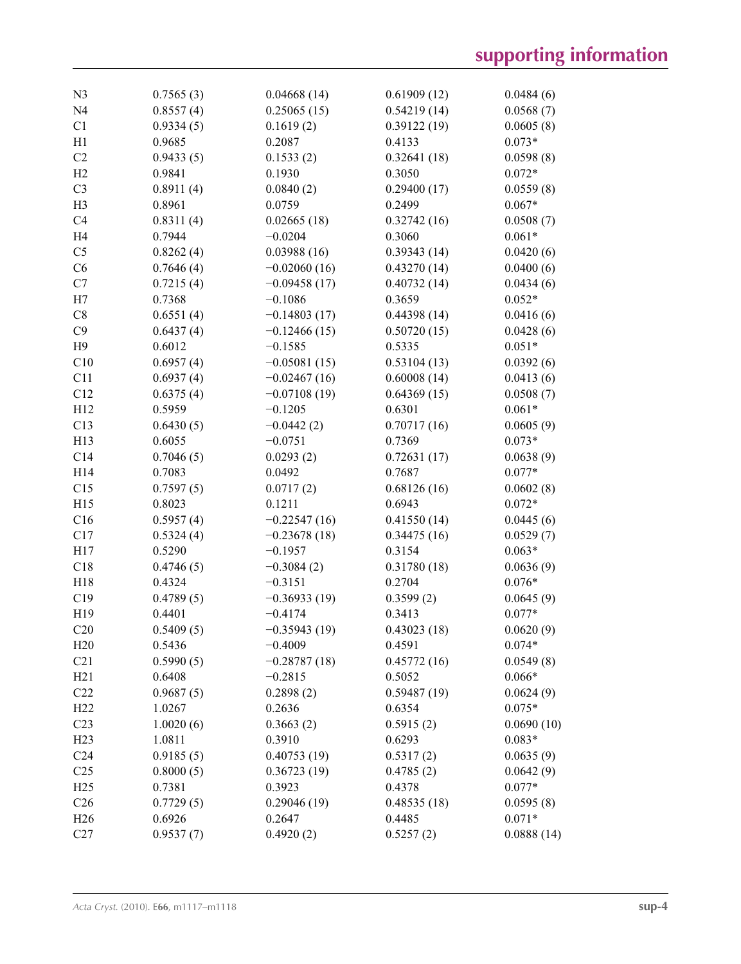| N <sub>3</sub>  | 0.7565(3) | 0.04668(14)    | 0.61909(12) | 0.0484(6)  |
|-----------------|-----------|----------------|-------------|------------|
| N <sub>4</sub>  | 0.8557(4) | 0.25065(15)    | 0.54219(14) | 0.0568(7)  |
| C1              | 0.9334(5) | 0.1619(2)      | 0.39122(19) | 0.0605(8)  |
| H1              | 0.9685    | 0.2087         | 0.4133      | $0.073*$   |
| C2              | 0.9433(5) | 0.1533(2)      | 0.32641(18) | 0.0598(8)  |
| H2              | 0.9841    | 0.1930         | 0.3050      | $0.072*$   |
| C <sub>3</sub>  | 0.8911(4) | 0.0840(2)      | 0.29400(17) | 0.0559(8)  |
| H <sub>3</sub>  | 0.8961    | 0.0759         | 0.2499      | $0.067*$   |
| C <sub>4</sub>  | 0.8311(4) | 0.02665(18)    | 0.32742(16) | 0.0508(7)  |
| H <sub>4</sub>  | 0.7944    | $-0.0204$      | 0.3060      | $0.061*$   |
| C <sub>5</sub>  | 0.8262(4) | 0.03988(16)    | 0.39343(14) | 0.0420(6)  |
| C6              | 0.7646(4) | $-0.02060(16)$ | 0.43270(14) | 0.0400(6)  |
| C7              | 0.7215(4) | $-0.09458(17)$ | 0.40732(14) | 0.0434(6)  |
| H7              | 0.7368    | $-0.1086$      | 0.3659      | $0.052*$   |
| C8              | 0.6551(4) | $-0.14803(17)$ | 0.44398(14) | 0.0416(6)  |
| C9              | 0.6437(4) | $-0.12466(15)$ | 0.50720(15) | 0.0428(6)  |
| H9              | 0.6012    | $-0.1585$      | 0.5335      | $0.051*$   |
| C10             | 0.6957(4) | $-0.05081(15)$ | 0.53104(13) | 0.0392(6)  |
| C11             | 0.6937(4) | $-0.02467(16)$ | 0.60008(14) | 0.0413(6)  |
| C12             | 0.6375(4) | $-0.07108(19)$ | 0.64369(15) | 0.0508(7)  |
| H12             | 0.5959    | $-0.1205$      | 0.6301      | $0.061*$   |
| C13             | 0.6430(5) | $-0.0442(2)$   | 0.70717(16) | 0.0605(9)  |
| H13             | 0.6055    | $-0.0751$      | 0.7369      | $0.073*$   |
| C14             | 0.7046(5) | 0.0293(2)      | 0.72631(17) | 0.0638(9)  |
| H14             | 0.7083    | 0.0492         | 0.7687      | $0.077*$   |
| C15             | 0.7597(5) | 0.0717(2)      | 0.68126(16) | 0.0602(8)  |
| H15             | 0.8023    | 0.1211         | 0.6943      | $0.072*$   |
| C16             | 0.5957(4) | $-0.22547(16)$ | 0.41550(14) | 0.0445(6)  |
| C17             | 0.5324(4) | $-0.23678(18)$ | 0.34475(16) | 0.0529(7)  |
| H17             | 0.5290    | $-0.1957$      | 0.3154      | $0.063*$   |
| C18             | 0.4746(5) | $-0.3084(2)$   | 0.31780(18) | 0.0636(9)  |
| H18             | 0.4324    | $-0.3151$      | 0.2704      | $0.076*$   |
| C19             | 0.4789(5) | $-0.36933(19)$ | 0.3599(2)   | 0.0645(9)  |
| H19             | 0.4401    | $-0.4174$      | 0.3413      | $0.077*$   |
| C20             | 0.5409(5) | $-0.35943(19)$ | 0.43023(18) | 0.0620(9)  |
| H20             | 0.5436    | $-0.4009$      | 0.4591      | $0.074*$   |
| C21             | 0.5990(5) | $-0.28787(18)$ | 0.45772(16) | 0.0549(8)  |
| H21             | 0.6408    | $-0.2815$      | 0.5052      | $0.066*$   |
| C22             | 0.9687(5) | 0.2898(2)      | 0.59487(19) | 0.0624(9)  |
| H22             | 1.0267    | 0.2636         | 0.6354      | $0.075*$   |
| C <sub>23</sub> | 1.0020(6) | 0.3663(2)      | 0.5915(2)   | 0.0690(10) |
| H23             | 1.0811    | 0.3910         | 0.6293      | $0.083*$   |
| C <sub>24</sub> | 0.9185(5) | 0.40753(19)    | 0.5317(2)   | 0.0635(9)  |
| C <sub>25</sub> | 0.8000(5) | 0.36723(19)    | 0.4785(2)   | 0.0642(9)  |
| H25             | 0.7381    | 0.3923         | 0.4378      | $0.077*$   |
| C <sub>26</sub> | 0.7729(5) | 0.29046(19)    | 0.48535(18) | 0.0595(8)  |
| H26             | 0.6926    | 0.2647         | 0.4485      | $0.071*$   |
| C27             | 0.9537(7) | 0.4920(2)      | 0.5257(2)   | 0.0888(14) |
|                 |           |                |             |            |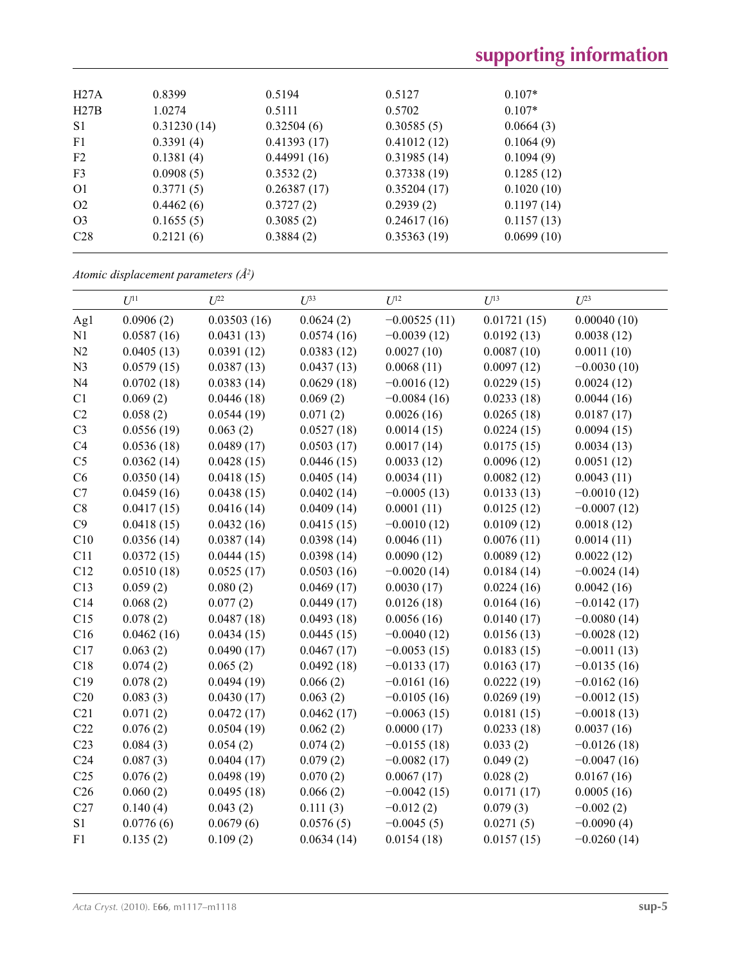| H27A            | 0.8399      | 0.5194      | 0.5127      | $0.107*$   |
|-----------------|-------------|-------------|-------------|------------|
| H27B            | 1.0274      | 0.5111      | 0.5702      | $0.107*$   |
| S <sub>1</sub>  | 0.31230(14) | 0.32504(6)  | 0.30585(5)  | 0.0664(3)  |
| F1              | 0.3391(4)   | 0.41393(17) | 0.41012(12) | 0.1064(9)  |
| F2              | 0.1381(4)   | 0.44991(16) | 0.31985(14) | 0.1094(9)  |
| F <sub>3</sub>  | 0.0908(5)   | 0.3532(2)   | 0.37338(19) | 0.1285(12) |
| O <sub>1</sub>  | 0.3771(5)   | 0.26387(17) | 0.35204(17) | 0.1020(10) |
| O <sub>2</sub>  | 0.4462(6)   | 0.3727(2)   | 0.2939(2)   | 0.1197(14) |
| O <sub>3</sub>  | 0.1655(5)   | 0.3085(2)   | 0.24617(16) | 0.1157(13) |
| C <sub>28</sub> | 0.2121(6)   | 0.3884(2)   | 0.35363(19) | 0.0699(10) |

*Atomic displacement parameters (Å2 )*

|                 | $U^{11}$   | $U^{22}$    | $U^{33}$   | $U^{12}$       | $U^{13}$    | $U^{23}$      |
|-----------------|------------|-------------|------------|----------------|-------------|---------------|
| Ag1             | 0.0906(2)  | 0.03503(16) | 0.0624(2)  | $-0.00525(11)$ | 0.01721(15) | 0.00040(10)   |
| N1              | 0.0587(16) | 0.0431(13)  | 0.0574(16) | $-0.0039(12)$  | 0.0192(13)  | 0.0038(12)    |
| N2              | 0.0405(13) | 0.0391(12)  | 0.0383(12) | 0.0027(10)     | 0.0087(10)  | 0.0011(10)    |
| N3              | 0.0579(15) | 0.0387(13)  | 0.0437(13) | 0.0068(11)     | 0.0097(12)  | $-0.0030(10)$ |
| N <sub>4</sub>  | 0.0702(18) | 0.0383(14)  | 0.0629(18) | $-0.0016(12)$  | 0.0229(15)  | 0.0024(12)    |
| C1              | 0.069(2)   | 0.0446(18)  | 0.069(2)   | $-0.0084(16)$  | 0.0233(18)  | 0.0044(16)    |
| C2              | 0.058(2)   | 0.0544(19)  | 0.071(2)   | 0.0026(16)     | 0.0265(18)  | 0.0187(17)    |
| C <sub>3</sub>  | 0.0556(19) | 0.063(2)    | 0.0527(18) | 0.0014(15)     | 0.0224(15)  | 0.0094(15)    |
| C4              | 0.0536(18) | 0.0489(17)  | 0.0503(17) | 0.0017(14)     | 0.0175(15)  | 0.0034(13)    |
| C <sub>5</sub>  | 0.0362(14) | 0.0428(15)  | 0.0446(15) | 0.0033(12)     | 0.0096(12)  | 0.0051(12)    |
| C6              | 0.0350(14) | 0.0418(15)  | 0.0405(14) | 0.0034(11)     | 0.0082(12)  | 0.0043(11)    |
| C7              | 0.0459(16) | 0.0438(15)  | 0.0402(14) | $-0.0005(13)$  | 0.0133(13)  | $-0.0010(12)$ |
| C8              | 0.0417(15) | 0.0416(14)  | 0.0409(14) | 0.0001(11)     | 0.0125(12)  | $-0.0007(12)$ |
| C9              | 0.0418(15) | 0.0432(16)  | 0.0415(15) | $-0.0010(12)$  | 0.0109(12)  | 0.0018(12)    |
| C10             | 0.0356(14) | 0.0387(14)  | 0.0398(14) | 0.0046(11)     | 0.0076(11)  | 0.0014(11)    |
| C11             | 0.0372(15) | 0.0444(15)  | 0.0398(14) | 0.0090(12)     | 0.0089(12)  | 0.0022(12)    |
| C12             | 0.0510(18) | 0.0525(17)  | 0.0503(16) | $-0.0020(14)$  | 0.0184(14)  | $-0.0024(14)$ |
| C13             | 0.059(2)   | 0.080(2)    | 0.0469(17) | 0.0030(17)     | 0.0224(16)  | 0.0042(16)    |
| C14             | 0.068(2)   | 0.077(2)    | 0.0449(17) | 0.0126(18)     | 0.0164(16)  | $-0.0142(17)$ |
| C15             | 0.078(2)   | 0.0487(18)  | 0.0493(18) | 0.0056(16)     | 0.0140(17)  | $-0.0080(14)$ |
| C16             | 0.0462(16) | 0.0434(15)  | 0.0445(15) | $-0.0040(12)$  | 0.0156(13)  | $-0.0028(12)$ |
| C17             | 0.063(2)   | 0.0490(17)  | 0.0467(17) | $-0.0053(15)$  | 0.0183(15)  | $-0.0011(13)$ |
| C18             | 0.074(2)   | 0.065(2)    | 0.0492(18) | $-0.0133(17)$  | 0.0163(17)  | $-0.0135(16)$ |
| C19             | 0.078(2)   | 0.0494(19)  | 0.066(2)   | $-0.0161(16)$  | 0.0222(19)  | $-0.0162(16)$ |
| C20             | 0.083(3)   | 0.0430(17)  | 0.063(2)   | $-0.0105(16)$  | 0.0269(19)  | $-0.0012(15)$ |
| C21             | 0.071(2)   | 0.0472(17)  | 0.0462(17) | $-0.0063(15)$  | 0.0181(15)  | $-0.0018(13)$ |
| C22             | 0.076(2)   | 0.0504(19)  | 0.062(2)   | 0.0000(17)     | 0.0233(18)  | 0.0037(16)    |
| C <sub>23</sub> | 0.084(3)   | 0.054(2)    | 0.074(2)   | $-0.0155(18)$  | 0.033(2)    | $-0.0126(18)$ |
| C <sub>24</sub> | 0.087(3)   | 0.0404(17)  | 0.079(2)   | $-0.0082(17)$  | 0.049(2)    | $-0.0047(16)$ |
| C <sub>25</sub> | 0.076(2)   | 0.0498(19)  | 0.070(2)   | 0.0067(17)     | 0.028(2)    | 0.0167(16)    |
| C <sub>26</sub> | 0.060(2)   | 0.0495(18)  | 0.066(2)   | $-0.0042(15)$  | 0.0171(17)  | 0.0005(16)    |
| C27             | 0.140(4)   | 0.043(2)    | 0.111(3)   | $-0.012(2)$    | 0.079(3)    | $-0.002(2)$   |
| S1              | 0.0776(6)  | 0.0679(6)   | 0.0576(5)  | $-0.0045(5)$   | 0.0271(5)   | $-0.0090(4)$  |
| F1              | 0.135(2)   | 0.109(2)    | 0.0634(14) | 0.0154(18)     | 0.0157(15)  | $-0.0260(14)$ |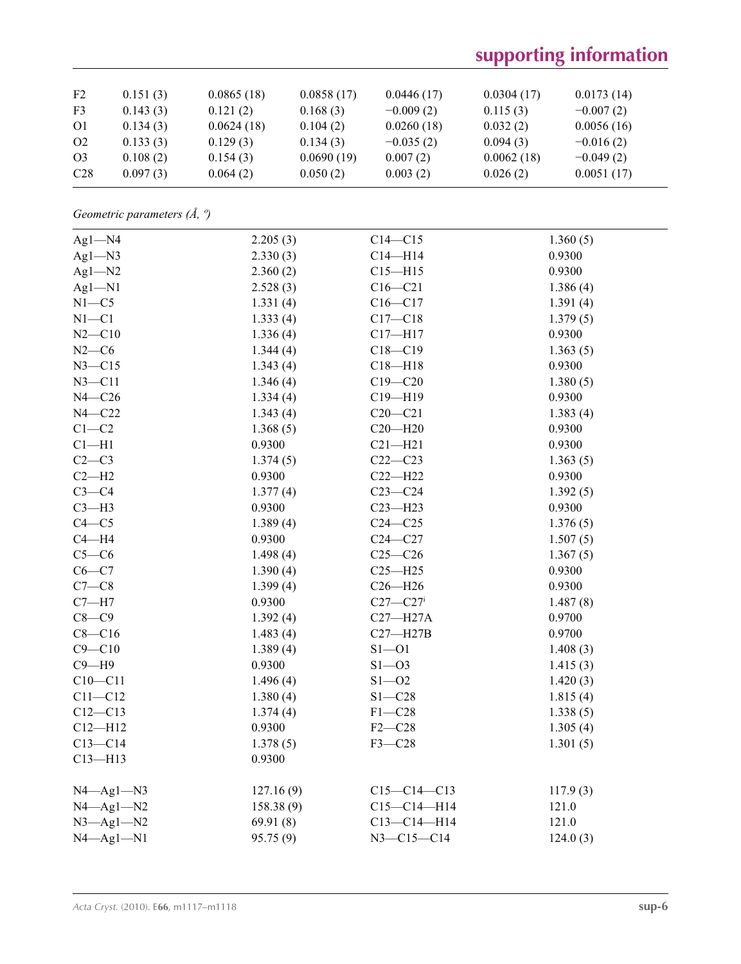# **supporting information**

| F2             | 0.151(3) | 0.0865(18) | 0.0858(17) | 0.0446(17)  | 0.0304(17) | 0.0173(14)  |
|----------------|----------|------------|------------|-------------|------------|-------------|
| F <sub>3</sub> | 0.143(3) | 0.121(2)   | 0.168(3)   | $-0.009(2)$ | 0.115(3)   | $-0.007(2)$ |
| <sup>O1</sup>  | 0.134(3) | 0.0624(18) | 0.104(2)   | 0.0260(18)  | 0.032(2)   | 0.0056(16)  |
| O <sub>2</sub> | 0.133(3) | 0.129(3)   | 0.134(3)   | $-0.035(2)$ | 0.094(3)   | $-0.016(2)$ |
| O <sub>3</sub> | 0.108(2) | 0.154(3)   | 0.0690(19) | 0.007(2)    | 0.0062(18) | $-0.049(2)$ |
| C28            | 0.097(3) | 0.064(2)   | 0.050(2)   | 0.003(2)    | 0.026(2)   | 0.0051(17)  |

*Geometric parameters (Å, º)*

| $Ag1 - N4$                              | 2.205(3)  | $C14 - C15$              | 1.360(5) |
|-----------------------------------------|-----------|--------------------------|----------|
| $Ag1 - N3$                              | 2.330(3)  | $C14 - H14$              | 0.9300   |
| $Ag1 - N2$                              | 2.360(2)  | $C15 - H15$              | 0.9300   |
| $Ag1-M1$                                | 2.528(3)  | $C16 - C21$              | 1.386(4) |
| $N1 - C5$                               | 1.331(4)  | $C16 - C17$              | 1.391(4) |
| $N1 - C1$                               | 1.333(4)  | $C17 - C18$              | 1.379(5) |
| $N2 - C10$                              | 1.336(4)  | $C17 - H17$              | 0.9300   |
| $N2-C6$                                 | 1.344(4)  | $C18 - C19$              | 1.363(5) |
| $N3 - C15$                              | 1.343(4)  | $C18 - H18$              | 0.9300   |
| $N3 - C11$                              | 1.346(4)  | $C19 - C20$              | 1.380(5) |
| $N4 - C26$                              | 1.334(4)  | C19-H19                  | 0.9300   |
| $N4 - C22$                              | 1.343(4)  | $C20-C21$                | 1.383(4) |
| $C1-C2$                                 | 1.368(5)  | $C20 - H20$              | 0.9300   |
| $C1 - H1$                               | 0.9300    | $C21 - H21$              | 0.9300   |
| $C2-C3$                                 | 1.374(5)  | $C22-C23$                | 1.363(5) |
| $C2-H2$                                 | 0.9300    | $C22-H22$                | 0.9300   |
| $C3-C4$                                 | 1.377(4)  | $C23-C24$                | 1.392(5) |
| $C3-H3$                                 | 0.9300    | $C23 - H23$              | 0.9300   |
| $C4 - C5$                               | 1.389(4)  | $C24 - C25$              | 1.376(5) |
| $C4 - H4$                               | 0.9300    | $C24 - C27$              | 1.507(5) |
| $C5-C6$                                 | 1.498(4)  | $C25-C26$                | 1.367(5) |
| $C6 - C7$                               | 1.390(4)  | $C25 - H25$              | 0.9300   |
| $C7-C8$                                 | 1.399(4)  | $C26 - H26$              | 0.9300   |
| $C7 - H7$                               | 0.9300    | $C27 - C27$ <sup>i</sup> | 1.487(8) |
| $C8-C9$                                 | 1.392(4)  | $C27 - H27A$             | 0.9700   |
| $C8 - C16$                              | 1.483(4)  | $C27 - H27B$             | 0.9700   |
| $C9 - C10$                              | 1.389(4)  | $S1 - 01$                | 1.408(3) |
| $C9 - H9$                               | 0.9300    | $S1 - 03$                | 1.415(3) |
| $C10 - C11$                             | 1.496(4)  | $S1 - 02$                | 1.420(3) |
| $C11 - C12$                             | 1.380(4)  | $S1 - C28$               | 1.815(4) |
| $C12 - C13$                             | 1.374(4)  | $F1 - C28$               | 1.338(5) |
| $C12 - H12$                             | 0.9300    | $F2-C28$                 | 1.305(4) |
| $C13 - C14$                             | 1.378(5)  | $F3-C28$                 | 1.301(5) |
| $C13 - H13$                             | 0.9300    |                          |          |
|                                         |           |                          |          |
| $N4$ <sub><math>-</math>Ag1</sub> $-N3$ | 127.16(9) | $C15-C14-C13$            | 117.9(3) |
| $N4 - Ag1 - N2$                         | 158.38(9) | $C15-C14-H14$            | 121.0    |
| $N3$ —Ag1—N2                            | 69.91(8)  | $C13 - C14 - H14$        | 121.0    |
| $N4 - Ag1 - N1$                         | 95.75 (9) | N3-C15-C14               | 124.0(3) |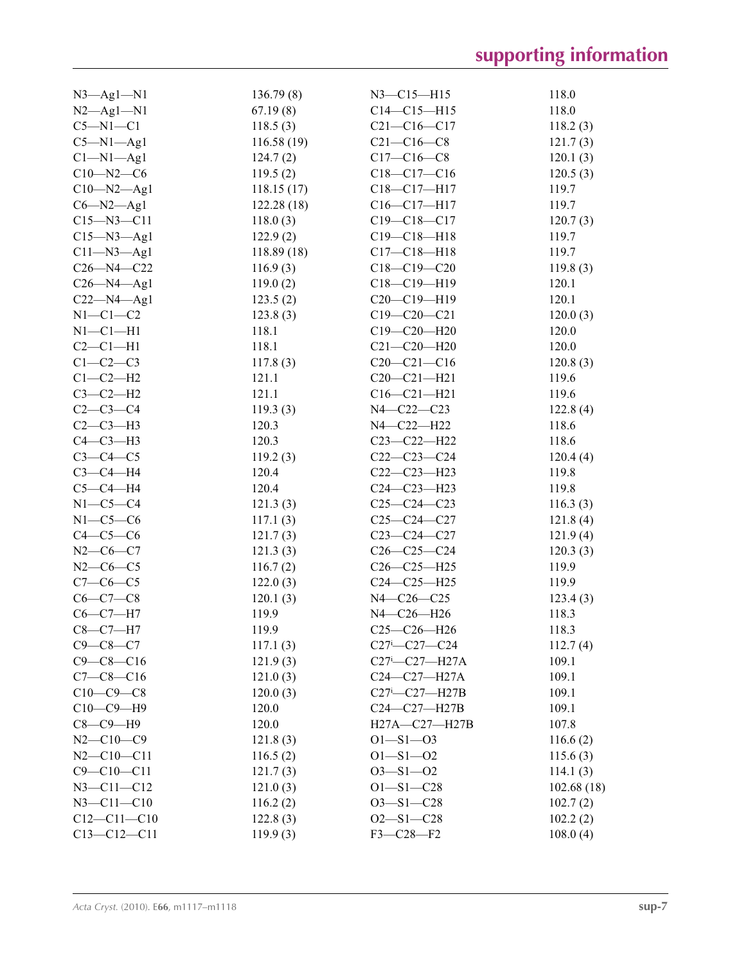| $N3$ —Ag1—N1      | 136.79(8)  | $N3 - C15 - H15$                 | 118.0      |
|-------------------|------------|----------------------------------|------------|
| $N2$ —Ag1—N1      | 67.19(8)   | $C14 - C15 - H15$                | 118.0      |
| $C5-M1-C1$        | 118.5(3)   | $C21 - C16 - C17$                | 118.2(3)   |
| $C5-M1-Ag1$       | 116.58(19) | $C21 - C16 - C8$                 | 121.7(3)   |
| $Cl-M1-Agl$       | 124.7(2)   | $C17 - C16 - C8$                 | 120.1(3)   |
| $C10 - N2 - C6$   | 119.5(2)   | $C18-C17-C16$                    | 120.5(3)   |
| $C10 - N2 - Ag1$  | 118.15(17) | C18-C17-H17                      | 119.7      |
| $C6 - N2 - Ag1$   | 122.28(18) | $C16 - C17 - H17$                | 119.7      |
| $C15 - N3 - C11$  | 118.0(3)   | $C19 - C18 - C17$                | 120.7(3)   |
| $C15 - N3 - Ag1$  | 122.9(2)   | $C19 - C18 - H18$                | 119.7      |
| $C11 - N3 - Ag1$  | 118.89(18) | $C17 - C18 - H18$                | 119.7      |
| $C26 - N4 - C22$  | 116.9(3)   | $C18 - C19 - C20$                | 119.8(3)   |
| $C26 - N4 - Ag1$  | 119.0(2)   | $C18 - C19 - H19$                | 120.1      |
| $C22 - N4 - Ag1$  | 123.5(2)   | $C20-C19-H19$                    | 120.1      |
| $N1-C1-C2$        | 123.8(3)   | $C19 - C20 - C21$                | 120.0(3)   |
| $N1-C1-H1$        | 118.1      | $C19 - C20 - H20$                | 120.0      |
| $C2-C1-H1$        | 118.1      | $C21 - C20 - H20$                | 120.0      |
| $C1-C2-C3$        | 117.8(3)   | $C20 - C21 - C16$                | 120.8(3)   |
| $C1-C2-H2$        | 121.1      | $C20-C21-H21$                    | 119.6      |
| $C3-C2-H2$        | 121.1      | $C16 - C21 - H21$                | 119.6      |
| $C2 - C3 - C4$    | 119.3(3)   | N4-C22-C23                       | 122.8(4)   |
| $C2-C3-H3$        | 120.3      | N4-C22-H22                       | 118.6      |
| $C4-C3-H3$        | 120.3      | $C23 - C22 - H22$                | 118.6      |
| $C3-C4-C5$        | 119.2(3)   | $C22-C23-C24$                    | 120.4(4)   |
| $C3-C4-H4$        | 120.4      | $C22-C23-H23$                    | 119.8      |
| $C5-C4-H4$        | 120.4      | $C24 - C23 - H23$                | 119.8      |
| $N1-C5-C4$        | 121.3(3)   | $C25-C24-C23$                    | 116.3(3)   |
| $N1-C5-C6$        | 117.1(3)   | $C25 - C24 - C27$                | 121.8(4)   |
| $C4-C5-C6$        | 121.7(3)   | $C23-C24-C27$                    | 121.9(4)   |
| $N2-C6-C7$        | 121.3(3)   | $C26 - C25 - C24$                | 120.3(3)   |
| $N2-C6-C5$        | 116.7(2)   | $C26 - C25 - H25$                | 119.9      |
| $C7-C6-C5$        | 122.0(3)   | $C24 - C25 - H25$                | 119.9      |
| $C6 - C7 - C8$    | 120.1(3)   | $N4 - C26 - C25$                 | 123.4(3)   |
| $C6-C7-H7$        | 119.9      | N4-C26-H26                       | 118.3      |
| $C8 - C7 - H7$    | 119.9      | $C25 - C26 - H26$                | 118.3      |
| $C9 - C8 - C7$    | 117.1(3)   | $C27 - C27 - C24$                | 112.7(4)   |
| $C9 - C8 - C16$   | 121.9(3)   | $C27$ <sup>i</sup> - $C27$ -H27A | 109.1      |
| $C7-C8-C16$       | 121.0(3)   | C24-C27-H27A                     | 109.1      |
| $C10-C9-C8$       | 120.0(3)   | C27 <sup>i</sup> -C27-H27B       | 109.1      |
| $C10-C9-H9$       | 120.0      | C24-C27-H27B                     | 109.1      |
| $C8-C9-H9$        | 120.0      | H27A-C27-H27B                    | 107.8      |
| $N2 - C10 - C9$   | 121.8(3)   | $O1 - S1 - O3$                   | 116.6(2)   |
| $N2 - C10 - C11$  | 116.5(2)   | $O1 - S1 - O2$                   | 115.6(3)   |
| $C9 - C10 - C11$  | 121.7(3)   | $O3 - S1 - O2$                   | 114.1(3)   |
| $N3 - C11 - C12$  | 121.0(3)   | $O1 - S1 - C28$                  | 102.68(18) |
| $N3 - C11 - C10$  | 116.2(2)   | $O3 - S1 - C28$                  | 102.7(2)   |
| $C12 - C11 - C10$ | 122.8(3)   | $O2 - S1 - C28$                  | 102.2(2)   |
| $C13 - C12 - C11$ | 119.9(3)   | $F3 - C28 - F2$                  | 108.0(4)   |
|                   |            |                                  |            |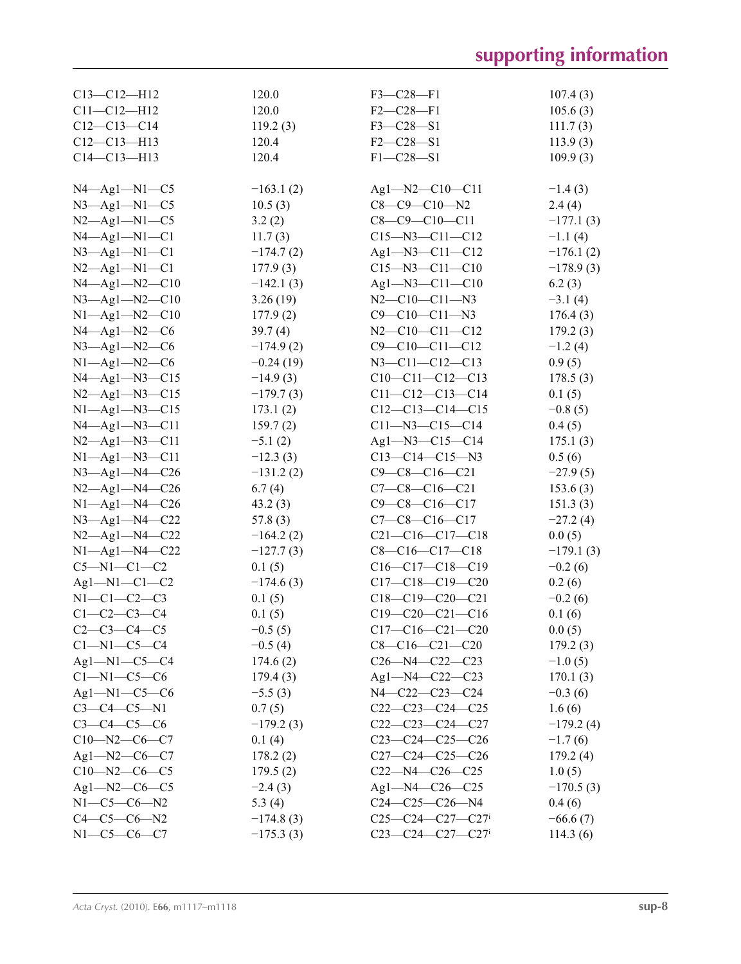| $C13 - C12 - H12$     | 120.0       | $F3-C28-F1$                    | 107.4(3)    |
|-----------------------|-------------|--------------------------------|-------------|
| $C11 - C12 - H12$     | 120.0       | $F2-C28-F1$                    | 105.6(3)    |
| $C12-C13-C14$         | 119.2(3)    | $F3 - C28 - S1$                | 111.7(3)    |
| $C12-C13-H13$         | 120.4       | $F2-C28-S1$                    | 113.9(3)    |
| $C14 - C13 - H13$     | 120.4       | $F1 - C28 - S1$                | 109.9(3)    |
|                       |             |                                |             |
| $N4$ —Ag1—N1—C5       | $-163.1(2)$ | $Ag1 - N2 - C10 - C11$         | $-1.4(3)$   |
| $N3$ —Ag1—N1—C5       | 10.5(3)     | $C8-C9-C10-N2$                 | 2.4(4)      |
| $N2$ —Ag1—N1—C5       | 3.2(2)      | $C8-C9-C10-C11$                | $-177.1(3)$ |
| $N4 - Ag1 - N1 - C1$  | 11.7(3)     | $C15 - N3 - C11 - C12$         | $-1.1(4)$   |
| $N3$ -Ag1-N1-C1       | $-174.7(2)$ | $Ag1 - N3 - C11 - C12$         | $-176.1(2)$ |
| $N2 - Ag1 - N1 - C1$  | 177.9(3)    | $C15 - N3 - C11 - C10$         | $-178.9(3)$ |
| $N4 - Ag1 - N2 - C10$ | $-142.1(3)$ | $Ag1 - N3 - C11 - C10$         | 6.2(3)      |
| $N3$ —Ag1—N2—C10      | 3.26(19)    | $N2-C10-C11-N3$                | $-3.1(4)$   |
| $N1 - Ag1 - N2 - C10$ | 177.9(2)    | $C9 - C10 - C11 - N3$          | 176.4(3)    |
| $N4$ —Ag1—N2—C6       | 39.7(4)     | $N2-C10-C11-C12$               | 179.2(3)    |
| $N3$ —Ag1—N2—C6       | $-174.9(2)$ | $C9 - C10 - C11 - C12$         | $-1.2(4)$   |
| $N1$ —Ag1—N2—C6       | $-0.24(19)$ | $N3 - C11 - C12 - C13$         | 0.9(5)      |
| $N4 - Ag1 - N3 - C15$ | $-14.9(3)$  | $C10-C11-C12-C13$              | 178.5(3)    |
| $N2$ —Ag1—N3—C15      | $-179.7(3)$ | $C11-C12-C13-C14$              | 0.1(5)      |
| $N1 - Ag1 - N3 - C15$ | 173.1(2)    | $C12-C13-C14-C15$              | $-0.8(5)$   |
| $N4 - Ag1 - N3 - C11$ | 159.7(2)    | $C11 - N3 - C15 - C14$         | 0.4(5)      |
| $N2$ —Ag1—N3—C11      | $-5.1(2)$   | Ag1-N3-C15-C14                 | 175.1(3)    |
| $N1 - Ag1 - N3 - C11$ | $-12.3(3)$  | $C13-C14-C15-N3$               | 0.5(6)      |
| $N3 - Ag1 - N4 - C26$ | $-131.2(2)$ | $C9 - C8 - C16 - C21$          | $-27.9(5)$  |
| $N2$ —Ag1—N4—C26      | 6.7(4)      | $C7-C8-C16-C21$                | 153.6(3)    |
| $N1 - Ag1 - N4 - C26$ | 43.2(3)     | $C9 - C8 - C16 - C17$          | 151.3(3)    |
| $N3 - Ag1 - N4 - C22$ | 57.8(3)     | $C7-C8-C16-C17$                | $-27.2(4)$  |
| $N2 - Ag1 - N4 - C22$ | $-164.2(2)$ | $C21-C16-C17-C18$              | 0.0(5)      |
| $N1 - Ag1 - N4 - C22$ | $-127.7(3)$ | $C8-C16-C17-C18$               | $-179.1(3)$ |
| $C5-M1-C1-C2$         | 0.1(5)      | $C16-C17-C18-C19$              | $-0.2(6)$   |
| $Ag1-M1-C1-C2$        | $-174.6(3)$ | $C17-C18-C19-C20$              | 0.2(6)      |
| $N1-C1-C2-C3$         | 0.1(5)      | $C18-C19-C20-C21$              | $-0.2(6)$   |
| $C1 - C2 - C3 - C4$   | 0.1(5)      | $C19-C20-C21-C16$              | 0.1(6)      |
| $C2-C3-C4-C5$         | $-0.5(5)$   | $C17-C16-C21-C20$              | 0.0(5)      |
| $C1-M1-C5-C4$         | $-0.5(4)$   | $C8-C16-C21-C20$               | 179.2(3)    |
| $Ag1 - N1 - C5 - C4$  | 174.6(2)    | $C26 - N4 - C22 - C23$         | $-1.0(5)$   |
| $C1-M1-C5-C6$         | 179.4(3)    | $Ag1 - N4 - C22 - C23$         | 170.1(3)    |
| $Ag1-M1-C5-C6$        | $-5.5(3)$   | N4-C22-C23-C24                 | $-0.3(6)$   |
| $C3-C4-C5-N1$         | 0.7(5)      | $C22-C23-C24-C25$              | 1.6(6)      |
| $C3 - C4 - C5 - C6$   | $-179.2(3)$ | $C22-C23-C24-C27$              | $-179.2(4)$ |
| $C10 - N2 - C6 - C7$  | 0.1(4)      | $C23-C24-C25-C26$              | $-1.7(6)$   |
| $Ag1 - N2 - C6 - C7$  | 178.2(2)    | $C27-C24-C25-C26$              | 179.2(4)    |
| $C10 - N2 - C6 - C5$  | 179.5(2)    | $C22 - N4 - C26 - C25$         | 1.0(5)      |
| $Ag1 - N2 - C6 - C5$  | $-2.4(3)$   | Ag1-N4-C26-C25                 | $-170.5(3)$ |
| $N1 - C5 - C6 - N2$   | 5.3(4)      | $C24-C25-C26-N4$               | 0.4(6)      |
| $C4 - C5 - C6 - N2$   | $-174.8(3)$ | $C25-C24-C27-C27$              | $-66.6(7)$  |
| $N1 - C5 - C6 - C7$   | $-175.3(3)$ | $C23-C24-C27-C27$ <sup>i</sup> | 114.3(6)    |